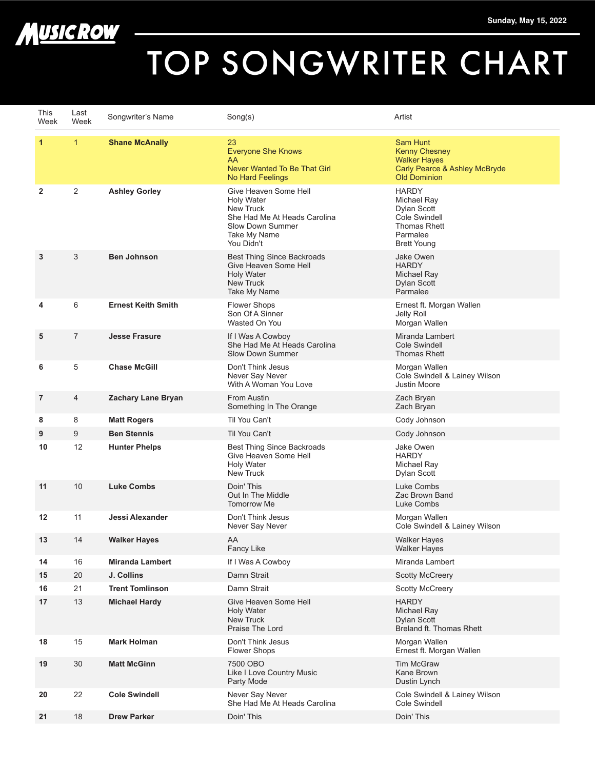

## TOP SONGWRITER CHART

| This<br>Week   | Last<br>Week   | Songwriter's Name         | Song(s)                                                                                                                                          | Artist                                                                                                               |
|----------------|----------------|---------------------------|--------------------------------------------------------------------------------------------------------------------------------------------------|----------------------------------------------------------------------------------------------------------------------|
| $\mathbf{1}$   | $\mathbf{1}$   | <b>Shane McAnally</b>     | 23<br><b>Everyone She Knows</b><br>AA<br>Never Wanted To Be That Girl<br>No Hard Feelings                                                        | Sam Hunt<br><b>Kenny Chesney</b><br><b>Walker Hayes</b><br>Carly Pearce & Ashley McBryde<br><b>Old Dominion</b>      |
| $\overline{2}$ | 2              | <b>Ashley Gorley</b>      | Give Heaven Some Hell<br><b>Holy Water</b><br><b>New Truck</b><br>She Had Me At Heads Carolina<br>Slow Down Summer<br>Take My Name<br>You Didn't | <b>HARDY</b><br>Michael Ray<br>Dylan Scott<br>Cole Swindell<br><b>Thomas Rhett</b><br>Parmalee<br><b>Brett Young</b> |
| 3              | 3              | <b>Ben Johnson</b>        | <b>Best Thing Since Backroads</b><br>Give Heaven Some Hell<br><b>Holy Water</b><br><b>New Truck</b><br>Take My Name                              | Jake Owen<br><b>HARDY</b><br>Michael Ray<br>Dylan Scott<br>Parmalee                                                  |
| 4              | 6              | <b>Ernest Keith Smith</b> | <b>Flower Shops</b><br>Son Of A Sinner<br>Wasted On You                                                                                          | Ernest ft. Morgan Wallen<br>Jelly Roll<br>Morgan Wallen                                                              |
| 5              | $\overline{7}$ | <b>Jesse Frasure</b>      | If I Was A Cowboy<br>She Had Me At Heads Carolina<br>Slow Down Summer                                                                            | Miranda Lambert<br>Cole Swindell<br><b>Thomas Rhett</b>                                                              |
| 6              | 5              | <b>Chase McGill</b>       | Don't Think Jesus<br>Never Say Never<br>With A Woman You Love                                                                                    | Morgan Wallen<br>Cole Swindell & Lainey Wilson<br>Justin Moore                                                       |
| 7              | 4              | Zachary Lane Bryan        | From Austin<br>Something In The Orange                                                                                                           | Zach Bryan<br>Zach Bryan                                                                                             |
| 8              | 8              | <b>Matt Rogers</b>        | Til You Can't                                                                                                                                    | Cody Johnson                                                                                                         |
| 9              | 9              | <b>Ben Stennis</b>        | Til You Can't                                                                                                                                    | Cody Johnson                                                                                                         |
| 10             | 12             | <b>Hunter Phelps</b>      | Best Thing Since Backroads<br>Give Heaven Some Hell<br><b>Holy Water</b><br><b>New Truck</b>                                                     | Jake Owen<br><b>HARDY</b><br>Michael Ray<br>Dylan Scott                                                              |
| 11             | 10             | <b>Luke Combs</b>         | Doin' This<br>Out In The Middle<br><b>Tomorrow Me</b>                                                                                            | Luke Combs<br>Zac Brown Band<br>Luke Combs                                                                           |
| 12             | 11             | Jessi Alexander           | Don't Think Jesus<br>Never Say Never                                                                                                             | Morgan Wallen<br>Cole Swindell & Lainey Wilson                                                                       |
| 13             | 14             | <b>Walker Hayes</b>       | AA<br>Fancy Like                                                                                                                                 | <b>Walker Hayes</b><br><b>Walker Hayes</b>                                                                           |
| 14             | 16             | <b>Miranda Lambert</b>    | If I Was A Cowboy                                                                                                                                | Miranda Lambert                                                                                                      |
| 15             | 20             | J. Collins                | Damn Strait                                                                                                                                      | <b>Scotty McCreery</b>                                                                                               |
| 16             | 21             | <b>Trent Tomlinson</b>    | Damn Strait                                                                                                                                      | <b>Scotty McCreery</b>                                                                                               |
| 17             | 13             | <b>Michael Hardy</b>      | Give Heaven Some Hell<br><b>Holy Water</b><br><b>New Truck</b><br>Praise The Lord                                                                | <b>HARDY</b><br>Michael Ray<br><b>Dylan Scott</b><br>Breland ft. Thomas Rhett                                        |
| 18             | 15             | Mark Holman               | Don't Think Jesus<br><b>Flower Shops</b>                                                                                                         | Morgan Wallen<br>Ernest ft. Morgan Wallen                                                                            |
| 19             | 30             | <b>Matt McGinn</b>        | 7500 OBO<br>Like I Love Country Music<br>Party Mode                                                                                              | <b>Tim McGraw</b><br>Kane Brown<br>Dustin Lynch                                                                      |
| 20             | 22             | <b>Cole Swindell</b>      | Never Say Never<br>She Had Me At Heads Carolina                                                                                                  | Cole Swindell & Lainey Wilson<br>Cole Swindell                                                                       |
| 21             | 18             | <b>Drew Parker</b>        | Doin' This                                                                                                                                       | Doin' This                                                                                                           |